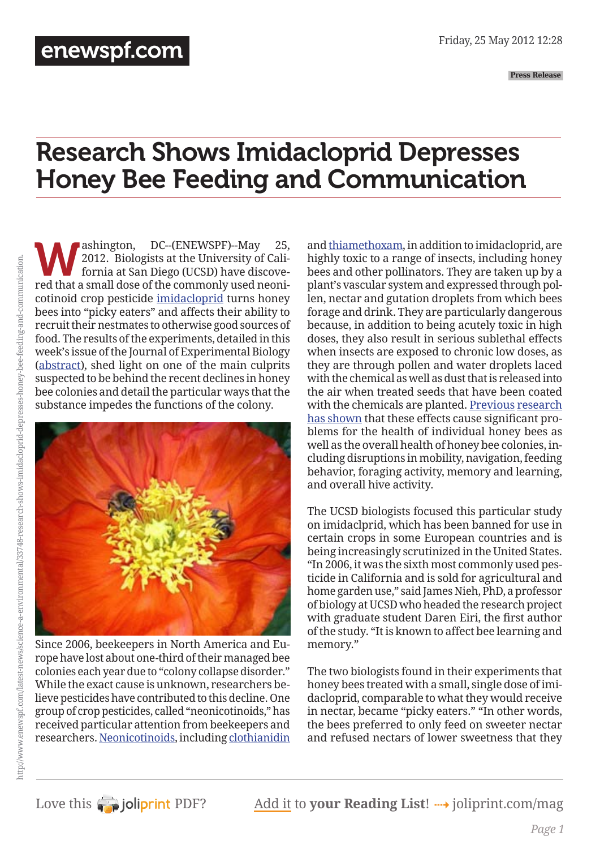**Press Release**

# Research Shows Imidacloprid Depresses Honey Bee Feeding and Communication

Washington, DC--(ENEWSPF)--May 25,<br>2012. Biologists at the University of California at San Diego (UCSD) have discovered that a small dose of the commonly used neoni 2012. Biologists at the University of California at San Diego (UCSD) have discovered that a small dose of the commonly used neonicotinoid crop pesticide [imidacloprid](http://www.beyondpesticides.org/gateway/pesticide/imidacloprid.htm) turns honey bees into "picky eaters" and affects their ability to recruit their nestmates to otherwise good sources of food. The results of the experiments, detailed in this week's issue of the Journal of Experimental Biology [\(abstract](http://jeb.biologists.org/content/215/12/2022.abstract)), shed light on one of the main culprits suspected to be behind the recent declines in honey bee colonies and detail the particular ways that the substance impedes the functions of the colony.



Since 2006, beekeepers in North America and Europe have lost about one-third of their managed bee colonies each year due to "colony collapse disorder." While the exact cause is unknown, researchers believe pesticides have contributed to this decline. One group of crop pesticides, called "neonicotinoids," has received particular attention from beekeepers and researchers. [Neonicotinoids,](http://www.beyondpesticides.org/pollinators/chemicals.htm) including [clothianidin](http://www.beyondpesticides.org/gateway/pesticide/clothianidin.htm)

and [thiamethoxam,](http://www.beyondpesticides.org/gateway/pesticide/thiamethoxam.htm) in addition to imidacloprid, are highly toxic to a range of insects, including honey bees and other pollinators. They are taken up by a plant's vascular system and expressed through pollen, nectar and gutation droplets from which bees forage and drink. They are particularly dangerous because, in addition to being acutely toxic in high doses, they also result in serious sublethal effects when insects are exposed to chronic low doses, as they are through pollen and water droplets laced with the chemical as well as dust that is released into the air when treated seeds that have been coated with the chemicals are planted. [Previous](http://www.beyondpesticides.org/dailynewsblog/?p=6604) [research](http://www.beyondpesticides.org/dailynewsblog/?p=6972) [has shown](http://www.beyondpesticides.org/dailynewsblog/?p=7171) that these effects cause significant problems for the health of individual honey bees as well as the overall health of honey bee colonies, including disruptions in mobility, navigation, feeding behavior, foraging activity, memory and learning, and overall hive activity.

The UCSD biologists focused this particular study on imidaclprid, which has been banned for use in certain crops in some European countries and is being increasingly scrutinized in the United States. "In 2006, it was the sixth most commonly used pesticide in California and is sold for agricultural and home garden use," said James Nieh, PhD, a professor of biology at UCSD who headed the research project with graduate student Daren Eiri, the first author of the study. "It is known to affect bee learning and memory."

The two biologists found in their experiments that honey bees treated with a small, single dose of imidacloprid, comparable to what they would receive in nectar, became "picky eaters." "In other words, the bees preferred to only feed on sweeter nectar and refused nectars of lower sweetness that they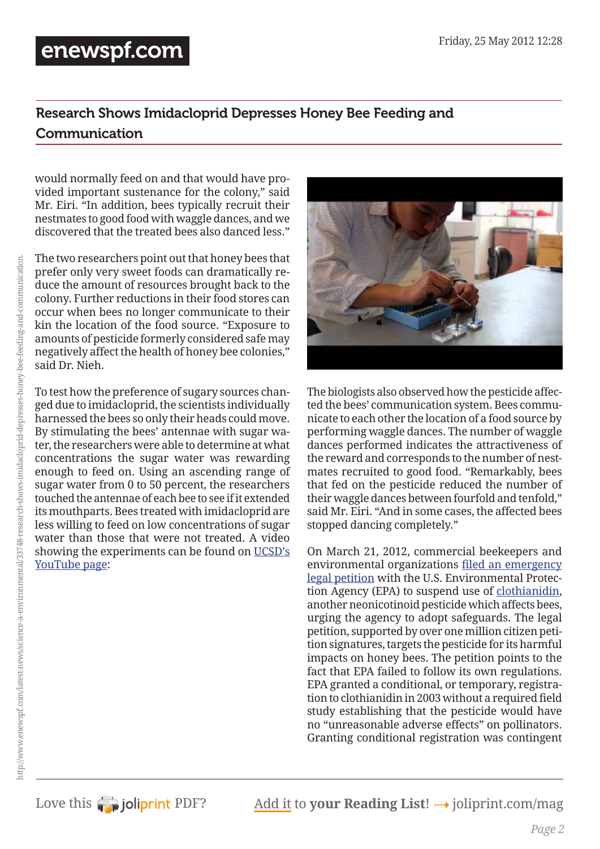### [enewspf.com](http://www.enewspf.com/)

#### Research Shows Imidacloprid Depresses Honey Bee Feeding and Communication

would normally feed on and that would have provided important sustenance for the colony," said Mr. Eiri. "In addition, bees typically recruit their nestmates to good food with waggle dances, and we discovered that the treated bees also danced less."

The two researchers point out that honey bees that prefer only very sweet foods can dramatically reduce the amount of resources brought back to the colony. Further reductions in their food stores can occur when bees no longer communicate to their kin the location of the food source. "Exposure to amounts of pesticide formerly considered safe may negatively affect the health of honey bee colonies," said Dr. Nieh.

To test how the preference of sugary sources changed due to imidacloprid, the scientists individually harnessed the bees so only their heads could move. By stimulating the bees' antennae with sugar water, the researchers were able to determine at what concentrations the sugar water was rewarding enough to feed on. Using an ascending range of sugar water from 0 to 50 percent, the researchers touched the antennae of each bee to see if it extended its mouthparts. Bees treated with imidacloprid are less willing to feed on low concentrations of sugar water than those that were not treated. A video showing the experiments can be found on [UCSD's](http://www.youtube.com/watch?v=iAkXC-T2YwM)  [YouTube page](http://www.youtube.com/watch?v=iAkXC-T2YwM):



The biologists also observed how the pesticide affected the bees' communication system. Bees communicate to each other the location of a food source by performing waggle dances. The number of waggle dances performed indicates the attractiveness of the reward and corresponds to the number of nestmates recruited to good food. "Remarkably, bees that fed on the pesticide reduced the number of their waggle dances between fourfold and tenfold," said Mr. Eiri. "And in some cases, the affected bees stopped dancing completely."

On March 21, 2012, commercial beekeepers and environmental organizations [filed an emergency](http://www.beyondpesticides.org/dailynewsblog/?p=7116)  [legal petition](http://www.beyondpesticides.org/dailynewsblog/?p=7116) with the U.S. Environmental Protection Agency (EPA) to suspend use of [clothianidin](http://www.beyondpesticides.org/gateway/pesticide/clothianidin.htm), another neonicotinoid pesticide which affects bees, urging the agency to adopt safeguards. The legal petition, supported by over one million citizen petition signatures, targets the pesticide for its harmful impacts on honey bees. The petition points to the fact that EPA failed to follow its own regulations. EPA granted a conditional, or temporary, registration to clothianidin in 2003 without a required field study establishing that the pesticide would have no "unreasonable adverse effects" on pollinators. Granting conditional registration was contingent